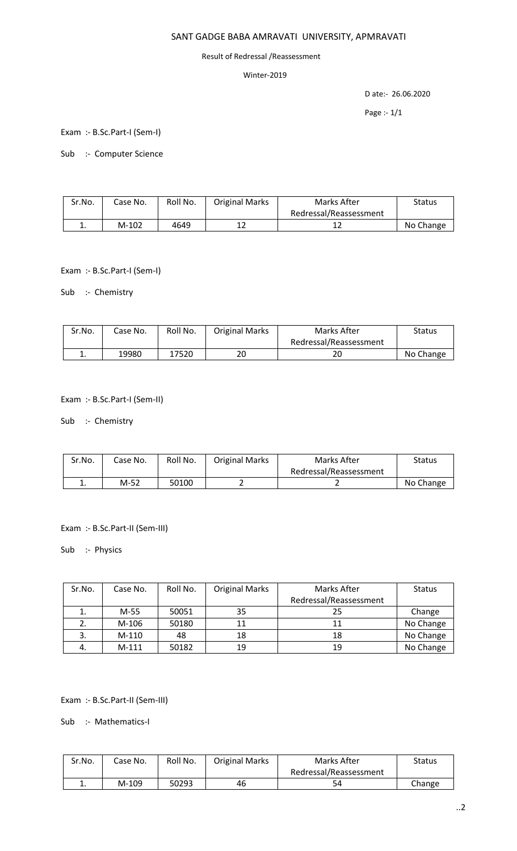# SANT GADGE BABA AMRAVATI UNIVERSITY, APMRAVATI

#### Result of Redressal /Reassessment

### Winter-2019

D ate:- 26.06.2020

Page :- 1/1

Exam :- B.Sc.Part-I (Sem-I)

Sub :- Computer Science

| Sr.No. | Case No. | Roll No. | <b>Original Marks</b> | Marks After            | Status    |
|--------|----------|----------|-----------------------|------------------------|-----------|
|        |          |          |                       | Redressal/Reassessment |           |
| ∸.     | $M-102$  | 4649     |                       | ∸∸                     | No Change |

Exam :- B.Sc.Part-I (Sem-I)

Sub :- Chemistry

| Sr.No. | Case No. | Roll No. | <b>Original Marks</b> | Marks After            | Status    |
|--------|----------|----------|-----------------------|------------------------|-----------|
|        |          |          |                       | Redressal/Reassessment |           |
| . .    | 19980    | 17520    | 20                    | 20                     | No Change |

#### Exam :- B.Sc.Part-I (Sem-II)

Sub :- Chemistry

| Sr.No. | Case No. | Roll No. | <b>Original Marks</b> | Marks After            | Status    |
|--------|----------|----------|-----------------------|------------------------|-----------|
|        |          |          |                       | Redressal/Reassessment |           |
| . .    | M-52     | 50100    |                       |                        | No Change |

Exam :- B.Sc.Part-II (Sem-III)

Sub :- Physics

| Sr.No. | Case No. | Roll No. | <b>Original Marks</b> | Marks After            | <b>Status</b> |
|--------|----------|----------|-----------------------|------------------------|---------------|
|        |          |          |                       | Redressal/Reassessment |               |
| ı.     | M-55     | 50051    | 35                    | 25                     | Change        |
|        | M-106    | 50180    | 11                    | 11                     | No Change     |
| 3.     | $M-110$  | 48       | 18                    | 18                     | No Change     |
| 4.     | $M-111$  | 50182    | 19                    | 19                     | No Change     |

Exam :- B.Sc.Part-II (Sem-III)

Sub :- Mathematics-I

| Sr.No. | Case No. | Roll No. | <b>Original Marks</b> | Marks After            | Status |
|--------|----------|----------|-----------------------|------------------------|--------|
|        |          |          |                       | Redressal/Reassessment |        |
| . .    | M-109    | 50293    | 46                    | 54                     | Change |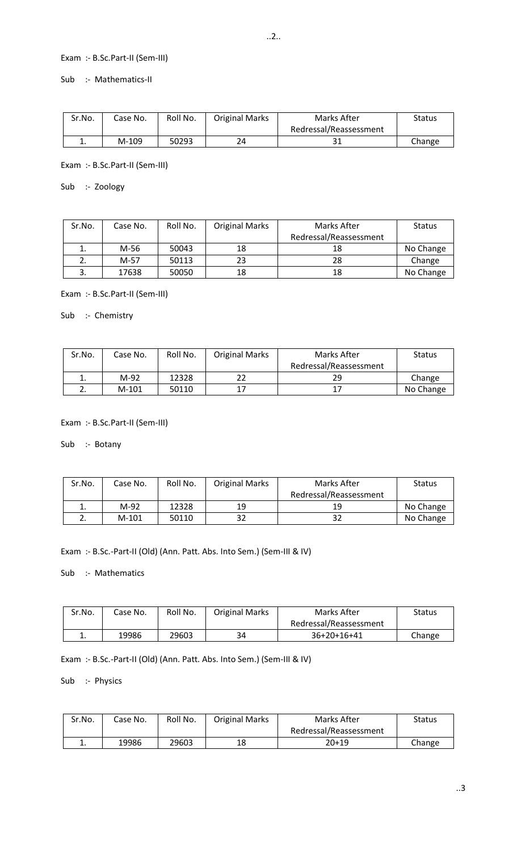# Exam :- B.Sc.Part-II (Sem-III)

Sub :- Mathematics-II

| Sr.No. | Case No. | Roll No. | <b>Original Marks</b> | Marks After            | Status |
|--------|----------|----------|-----------------------|------------------------|--------|
|        |          |          |                       | Redressal/Reassessment |        |
| ∸.     | M-109    | 50293    | 24                    | эı                     | Change |

Exam :- B.Sc.Part-II (Sem-III)

Sub :- Zoology

| Sr.No. | Case No. | Roll No. | <b>Original Marks</b> | Marks After            | <b>Status</b> |
|--------|----------|----------|-----------------------|------------------------|---------------|
|        |          |          |                       | Redressal/Reassessment |               |
| ı.     | M-56     | 50043    | 18                    | 18                     | No Change     |
|        | M-57     | 50113    | 23                    | 28                     | Change        |
| 3.     | 17638    | 50050    | 18                    | 18                     | No Change     |

Exam :- B.Sc.Part-II (Sem-III)

Sub :- Chemistry

| Sr.No. | Case No. | Roll No. | <b>Original Marks</b> | Marks After            | <b>Status</b> |
|--------|----------|----------|-----------------------|------------------------|---------------|
|        |          |          |                       | Redressal/Reassessment |               |
| ∸.     | M-92     | 12328    | າາ                    | 29                     | Change        |
|        | $M-101$  | 50110    | 17                    | 17                     | No Change     |

Exam :- B.Sc.Part-II (Sem-III)

Sub :- Botany

| Sr.No. | Case No. | Roll No. | <b>Original Marks</b> | Marks After            | <b>Status</b> |
|--------|----------|----------|-----------------------|------------------------|---------------|
|        |          |          |                       | Redressal/Reassessment |               |
| ∸.     | M-92     | 12328    | 19                    | 19                     | No Change     |
| ـ.     | $M-101$  | 50110    | 32                    | 32                     | No Change     |

Exam :- B.Sc.-Part-II (Old) (Ann. Patt. Abs. Into Sem.) (Sem-III & IV)

Sub :- Mathematics

| Sr.No. | Case No. | Roll No. | <b>Original Marks</b> | Marks After            | Status |
|--------|----------|----------|-----------------------|------------------------|--------|
|        |          |          |                       | Redressal/Reassessment |        |
| . .    | 19986    | 29603    | 34                    | $36+20+16+41$          | Change |

Exam :- B.Sc.-Part-II (Old) (Ann. Patt. Abs. Into Sem.) (Sem-III & IV)

Sub :- Physics

| Sr.No. | Case No. | Roll No. | <b>Original Marks</b> | Marks After            | Status |
|--------|----------|----------|-----------------------|------------------------|--------|
|        |          |          |                       | Redressal/Reassessment |        |
| ∸.     | 19986    | 29603    | 18                    | $20+19$                | Change |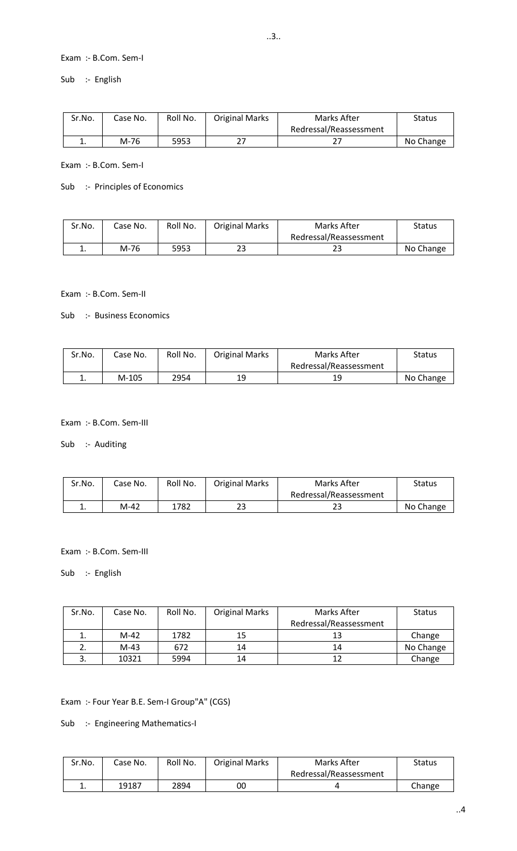### Exam :- B.Com. Sem-I

Sub :- English

| Sr.No. | Case No. | Roll No. | <b>Original Marks</b> | Marks After            | Status    |
|--------|----------|----------|-----------------------|------------------------|-----------|
|        |          |          |                       | Redressal/Reassessment |           |
| ٠.     | M-76     | 5953     | າາ                    |                        | No Change |

Exam :- B.Com. Sem-I

### Sub :- Principles of Economics

| Sr.No. | Case No. | Roll No. | <b>Original Marks</b> | Marks After            | <b>Status</b> |
|--------|----------|----------|-----------------------|------------------------|---------------|
|        |          |          |                       | Redressal/Reassessment |               |
| ∸.     | M-76     | 5953     | າາ<br>دے              | 23                     | No Change     |

### Exam :- B.Com. Sem-II

Sub :- Business Economics

| Sr.No. | Case No. | Roll No. | <b>Original Marks</b> | Marks After            | Status    |
|--------|----------|----------|-----------------------|------------------------|-----------|
|        |          |          |                       | Redressal/Reassessment |           |
| . .    | M-105    | 2954     | 19                    | 19                     | No Change |

### Exam :- B.Com. Sem-III

Sub :- Auditing

| Sr.No. | Case No. | Roll No. | <b>Original Marks</b> | Marks After            | Status    |
|--------|----------|----------|-----------------------|------------------------|-----------|
|        |          |          |                       | Redressal/Reassessment |           |
| ∸.     | M-42     | 1782     | 23                    | ر ے                    | No Change |

Exam :- B.Com. Sem-III

Sub :- English

| Sr.No. | Case No. | Roll No. | <b>Original Marks</b> | Marks After            | <b>Status</b> |
|--------|----------|----------|-----------------------|------------------------|---------------|
|        |          |          |                       | Redressal/Reassessment |               |
| ı.     | $M-42$   | 1782     | 15                    | 13                     | Change        |
|        | $M-43$   | 672      | 14                    | 14                     | No Change     |
|        | 10321    | 5994     | 14                    | 12                     | Change        |

Exam :- Four Year B.E. Sem-I Group"A" (CGS)

Sub :- Engineering Mathematics-I

| Sr.No. | Case No. | Roll No. | <b>Original Marks</b> | Marks After            | <b>Status</b> |
|--------|----------|----------|-----------------------|------------------------|---------------|
|        |          |          |                       | Redressal/Reassessment |               |
| . .    | 19187    | 2894     | 00                    |                        | Change        |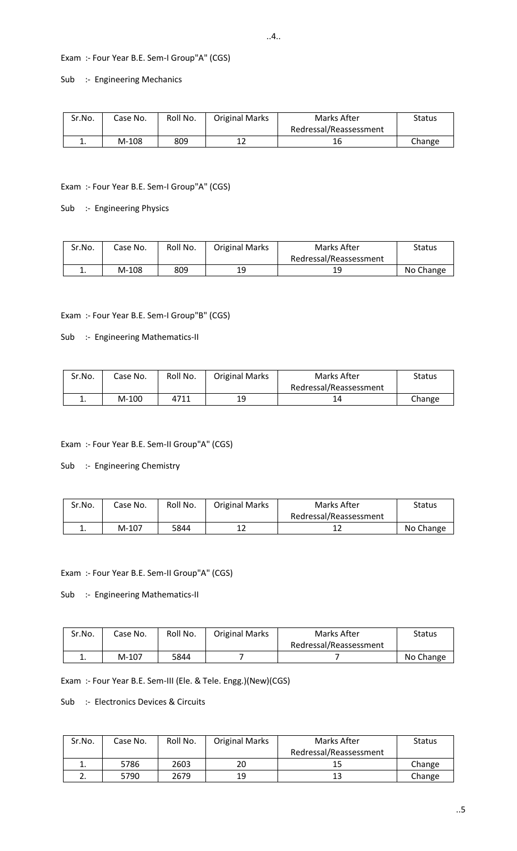# Exam :- Four Year B.E. Sem-I Group"A" (CGS)

Sub :- Engineering Mechanics

| Sr.No. | Case No. | Roll No. | <b>Original Marks</b> | Marks After            | Status |
|--------|----------|----------|-----------------------|------------------------|--------|
|        |          |          |                       | Redressal/Reassessment |        |
| ∸.     | M-108    | 809      | າາ                    |                        | Change |

#### Exam :- Four Year B.E. Sem-I Group"A" (CGS)

Sub :- Engineering Physics

| Sr.No. | Case No. | Roll No. | <b>Original Marks</b> | Marks After            | Status    |
|--------|----------|----------|-----------------------|------------------------|-----------|
|        |          |          |                       | Redressal/Reassessment |           |
| ∸.     | M-108    | 809      | 19                    | 19                     | No Change |

### Exam :- Four Year B.E. Sem-I Group"B" (CGS)

#### Sub :- Engineering Mathematics-II

| Sr.No. | Case No. | Roll No. | <b>Original Marks</b> | Marks After            | Status |
|--------|----------|----------|-----------------------|------------------------|--------|
|        |          |          |                       | Redressal/Reassessment |        |
| . .    | $M-100$  | 4711     | 19                    |                        | Change |

### Exam :- Four Year B.E. Sem-II Group"A" (CGS)

#### Sub :- Engineering Chemistry

| Sr.No. | Case No. | Roll No. | <b>Original Marks</b> | Marks After            | Status    |
|--------|----------|----------|-----------------------|------------------------|-----------|
|        |          |          |                       | Redressal/Reassessment |           |
| ٠.     | $M-107$  | 5844     | 1 ว                   |                        | No Change |

#### Exam :- Four Year B.E. Sem-II Group"A" (CGS)

### Sub :- Engineering Mathematics-II

| Sr.No. | Case No. | Roll No. | <b>Original Marks</b> | Marks After            | Status    |
|--------|----------|----------|-----------------------|------------------------|-----------|
|        |          |          |                       | Redressal/Reassessment |           |
| . ـ    | M-107    | 5844     |                       |                        | No Change |

Exam :- Four Year B.E. Sem-III (Ele. & Tele. Engg.)(New)(CGS)

## Sub :- Electronics Devices & Circuits

| Sr.No.   | Case No. | Roll No. | <b>Original Marks</b> | Marks After            | <b>Status</b> |
|----------|----------|----------|-----------------------|------------------------|---------------|
|          |          |          |                       | Redressal/Reassessment |               |
| <b>.</b> | 5786     | 2603     | 20                    |                        | Change        |
| <u>.</u> | 5790     | 2679     | 19                    | -1.2                   | Change        |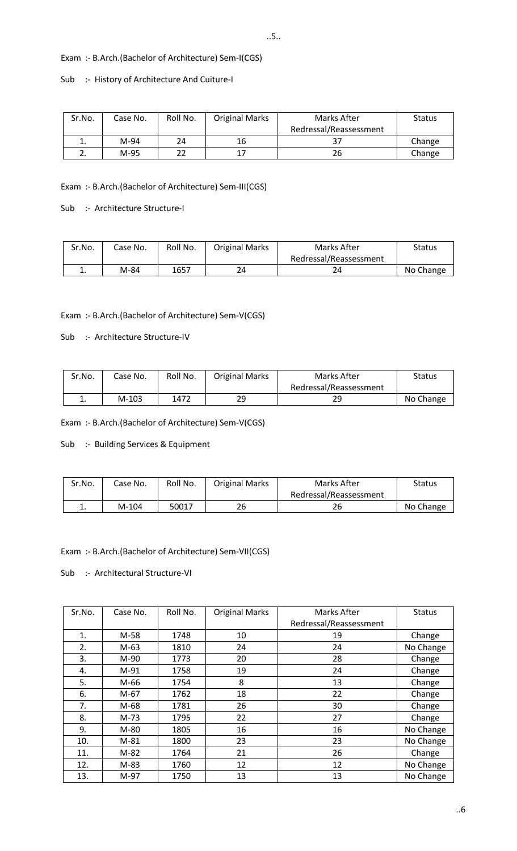# Exam :- B.Arch.(Bachelor of Architecture) Sem-I(CGS)

#### Sub :- History of Architecture And Cuiture-I

| Sr.No. | Case No. | Roll No. | <b>Original Marks</b> | Marks After            | <b>Status</b> |
|--------|----------|----------|-----------------------|------------------------|---------------|
|        |          |          |                       | Redressal/Reassessment |               |
| ∸.     | M-94     | 24       | 16                    |                        | Change        |
|        | M-95     |          | 17                    | 26                     | Change        |

Exam :- B.Arch.(Bachelor of Architecture) Sem-III(CGS)

Sub :- Architecture Structure-I

| Sr.No. | Case No. | Roll No. | <b>Original Marks</b> | Marks After            | Status    |
|--------|----------|----------|-----------------------|------------------------|-----------|
|        |          |          |                       | Redressal/Reassessment |           |
| . .    | M-84     | 1657     | 24                    |                        | No Change |

### Exam :- B.Arch.(Bachelor of Architecture) Sem-V(CGS)

Sub :- Architecture Structure-IV

| Sr.No.   | Case No. | Roll No. | <b>Original Marks</b> | Marks After            | Status    |
|----------|----------|----------|-----------------------|------------------------|-----------|
|          |          |          |                       | Redressal/Reassessment |           |
| <b>.</b> | $M-103$  | 1472     | 29                    | 29                     | No Change |

Exam :- B.Arch.(Bachelor of Architecture) Sem-V(CGS)

Sub :- Building Services & Equipment

| Sr.No. | Case No. | Roll No. | <b>Original Marks</b> | Marks After            | Status    |
|--------|----------|----------|-----------------------|------------------------|-----------|
|        |          |          |                       | Redressal/Reassessment |           |
| ٠.     | $M-104$  | 50017    | 26                    | 26                     | No Change |

Exam :- B.Arch.(Bachelor of Architecture) Sem-VII(CGS)

Sub :- Architectural Structure-VI

| Sr.No. | Case No. | Roll No. | <b>Original Marks</b> | Marks After            | <b>Status</b> |
|--------|----------|----------|-----------------------|------------------------|---------------|
|        |          |          |                       | Redressal/Reassessment |               |
| 1.     | M-58     | 1748     | 10                    | 19                     | Change        |
| 2.     | $M-63$   | 1810     | 24                    | 24                     | No Change     |
| 3.     | M-90     | 1773     | 20                    | 28                     | Change        |
| 4.     | $M-91$   | 1758     | 19                    | 24                     | Change        |
| 5.     | M-66     | 1754     | 8                     | 13                     | Change        |
| 6.     | $M-67$   | 1762     | 18                    | 22                     | Change        |
| 7.     | M-68     | 1781     | 26                    | 30                     | Change        |
| 8.     | $M-73$   | 1795     | 22                    | 27                     | Change        |
| 9.     | M-80     | 1805     | 16                    | 16                     | No Change     |
| 10.    | $M-81$   | 1800     | 23                    | 23                     | No Change     |
| 11.    | M-82     | 1764     | 21                    | 26                     | Change        |
| 12.    | M-83     | 1760     | 12                    | 12                     | No Change     |
| 13.    | M-97     | 1750     | 13                    | 13                     | No Change     |